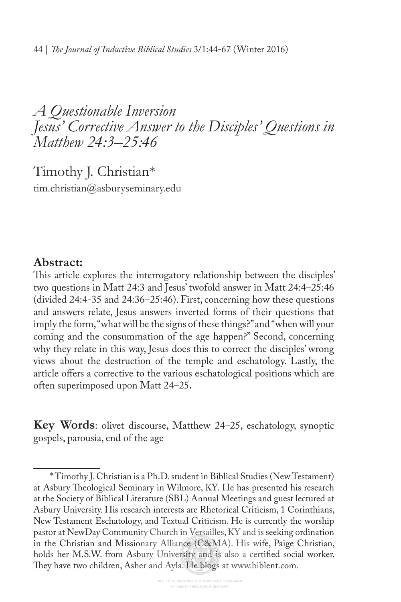## *A Questionable Inversion Jesus' Corrective Answer to the Disciples' Questions in Matthew 24:3 –25:46*

Timothy J. Christian\*1 tim.christian@asburyseminary.edu

### **Abstract:**

This article explores the interrogatory relationship between the disciples' two questions in Matt 24:3 and Jesus' twofold answer in Matt 24:4–25:46 (divided 24:4-35 and 24:36–25:46). First, concerning how these questions and answers relate, Jesus answers inverted forms of their questions that imply the form, "what will be the signs of these things?" and "when will your coming and the consummation of the age happen?" Second, concerning why they relate in this way, Jesus does this to correct the disciples' wrong views about the destruction of the temple and eschatology. Lastly, the article offers a corrective to the various eschatological positions which are often superimposed upon Matt 24–25**.**

**Key Words**: olivet discourse, Matthew 24–25, eschatology, synoptic gospels, parousia, end of the age

<sup>\*</sup> Timothy J. Christian is a Ph.D. student in Biblical Studies (New Testament) at Asbury Theological Seminary in Wilmore, KY. He has presented his research at the Society of Biblical Literature (SBL) Annual Meetings and guest lectured at Asbury University. His research interests are Rhetorical Criticism, 1 Corinthians, New Testament Eschatology, and Textual Criticism. He is currently the worship pastor at NewDay Community Church in Versailles, KY and is seeking ordination in the Christian and Missionary Alliance (C&MA). His wife, Paige Christian, holds her M.S.W. from Asbury University and is also a certifed social worker. They have two children, Asher and Ayla. He blogs at www.biblent.com.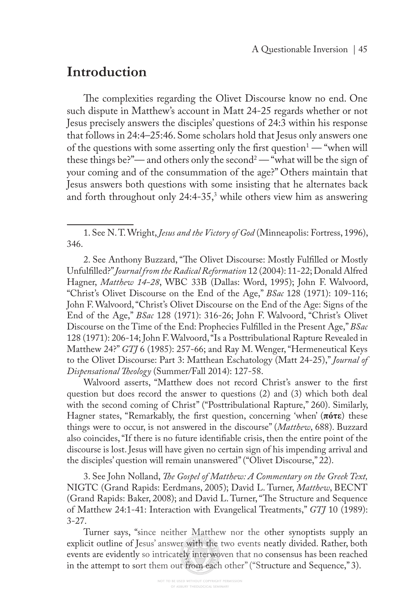## **Introduction**

The complexities regarding the Olivet Discourse know no end. One such dispute in Matthew's account in Matt 24-25 regards whether or not Jesus precisely answers the disciples' questions of 24:3 within his response that follows in 24:4–25:46. Some scholars hold that Jesus only answers one of the questions with some asserting only the first question $-$  "when will these things be?"— and others only the second<sup>2</sup> — "what will be the sign of your coming and of the consummation of the age?" Others maintain that Jesus answers both questions with some insisting that he alternates back and forth throughout only 24:4-35,<sup>3</sup> while others view him as answering

2. See Anthony Buzzard, "The Olivet Discourse: Mostly Fulfilled or Mostly Unfulflled?" *Journal from the Radical Reformation* 12 (2004): 11-22; Donald Alfred Hagner, *Matthew 14-28*, WBC 33B (Dallas: Word, 1995); John F. Walvoord, "Christ's Olivet Discourse on the End of the Age," *BSac* 128 (1971): 109-116; John F. Walvoord, "Christ's Olivet Discourse on the End of the Age: Signs of the End of the Age," *BSac* 128 (1971): 316-26; John F. Walvoord, "Christ's Olivet Discourse on the Time of the End: Prophecies Fulflled in the Present Age," *BSac*  128 (1971): 206-14; John F. Walvoord, "Is a Posttribulational Rapture Revealed in Matthew 24?" *GTJ* 6 (1985): 257-66; and Ray M. Wenger, "Hermeneutical Keys to the Olivet Discourse: Part 3: Matthean Eschatology (Matt 24-25)," *Journal of Dispensational Teology* (Summer/Fall 2014): 127-58.

Walvoord asserts, "Matthew does not record Christ's answer to the frst question but does record the answer to questions (2) and (3) which both deal with the second coming of Christ" ("Posttribulational Rapture," 260). Similarly, Hagner states, "Remarkably, the frst question, concerning 'when' (**πότε**) these things were to occur, is not answered in the discourse" (*Matthew*, 688). Buzzard also coincides, "If there is no future identifable crisis, then the entire point of the discourse is lost. Jesus will have given no certain sign of his impending arrival and the disciples' question will remain unanswered" ("Olivet Discourse," 22).

3. See John Nolland, *Te Gospel of Matthew: A Commentary on the Greek Text,*  NIGTC (Grand Rapids: Eerdmans, 2005); David L. Turner, *Matthew*, BECNT (Grand Rapids: Baker, 2008); and David L. Turner, "The Structure and Sequence of Matthew 24:1-41: Interaction with Evangelical Treatments," *GTJ* 10 (1989):  $3 - 27$ .

Turner says, "since neither Matthew nor the other synoptists supply an explicit outline of Jesus' answer with the two events neatly divided. Rather, both events are evidently so intricately interwoven that no consensus has been reached in the attempt to sort them out from each other" ("Structure and Sequence," 3).

<sup>1.</sup> See N. T. Wright, *Jesus and the Victory of God* (Minneapolis: Fortress, 1996), 346.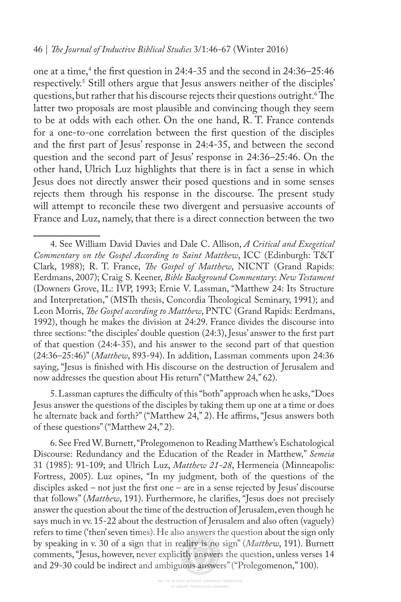one at a time,<sup>4</sup> the first question in 24:4-35 and the second in 24:36–25:46 respectively.5 Still others argue that Jesus answers neither of the disciples' questions, but rather that his discourse rejects their questions outright.<sup>6</sup>The latter two proposals are most plausible and convincing though they seem to be at odds with each other. On the one hand, R. T. France contends for a one-to-one correlation between the frst question of the disciples and the frst part of Jesus' response in 24:4-35, and between the second question and the second part of Jesus' response in 24:36–25:46. On the other hand, Ulrich Luz highlights that there is in fact a sense in which Jesus does not directly answer their posed questions and in some senses rejects them through his response in the discourse. The present study will attempt to reconcile these two divergent and persuasive accounts of France and Luz, namely, that there is a direct connection between the two

5. Lassman captures the difculty of this "both" approach when he asks, "Does Jesus answer the questions of the disciples by taking them up one at a time or does he alternate back and forth?" ("Matthew 24," 2). He affirms, "Jesus answers both of these questions" ("Matthew 24," 2).

6. See Fred W. Burnett, "Prolegomenon to Reading Matthew's Eschatological Discourse: Redundancy and the Education of the Reader in Matthew," *Semeia*  31 (1985): 91-109; and Ulrich Luz, *Matthew 21-28*, Hermeneia (Minneapolis: Fortress, 2005). Luz opines, "In my judgment, both of the questions of the disciples asked – not just the frst one – are in a sense rejected by Jesus' discourse that follows" (*Matthew*, 191). Furthermore, he clarifes, "Jesus does not precisely answer the question about the time of the destruction of Jerusalem, even though he says much in vv. 15-22 about the destruction of Jerusalem and also often (vaguely) refers to time ('then' seven times). He also answers the question about the sign only by speaking in v. 30 of a sign that in reality is no sign" (*Matthew*, 191). Burnett comments, "Jesus, however, never explicitly answers the question, unless verses 14 and 29-30 could be indirect and ambiguous answers" ("Prolegomenon," 100).

<sup>4.</sup> See William David Davies and Dale C. Allison, *A Critical and Exegetical Commentary on the Gospel According to Saint Matthew*, ICC (Edinburgh: T&T Clark, 1988); R. T. France, *Te Gospel of Matthew*, NICNT (Grand Rapids: Eerdmans, 2007); Craig S. Keener, *Bible Background Commentary*: *New Testament*  (Downers Grove, IL: IVP, 1993; Ernie V. Lassman, "Matthew 24: Its Structure and Interpretation," (MSTh thesis, Concordia Theological Seminary, 1991); and Leon Morris, *Te Gospel according to Matthew*, PNTC (Grand Rapids: Eerdmans, 1992), though he makes the division at 24:29. France divides the discourse into three sections: "the disciples' double question (24:3), Jesus' answer to the frst part of that question (24:4-35), and his answer to the second part of that question (24:36–25:46)" (*Matthew*, 893-94). In addition, Lassman comments upon 24:36 saying, "Jesus is fnished with His discourse on the destruction of Jerusalem and now addresses the question about His return" ("Matthew 24," 62).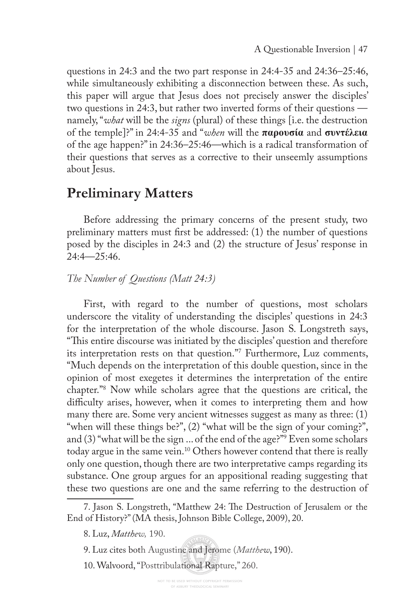questions in 24:3 and the two part response in 24:4-35 and 24:36–25:46, while simultaneously exhibiting a disconnection between these. As such, this paper will argue that Jesus does not precisely answer the disciples' two questions in 24:3, but rather two inverted forms of their questions namely, "*what* will be the *signs* (plural) of these things [i.e. the destruction of the temple]?" in 24:4-35 and "*when* will the **παρουσία** and **συντέλεια**  of the age happen?" in 24:36–25:46—which is a radical transformation of their questions that serves as a corrective to their unseemly assumptions about Jesus.

### **Preliminary Matters**

Before addressing the primary concerns of the present study, two preliminary matters must frst be addressed: (1) the number of questions posed by the disciples in 24:3 and (2) the structure of Jesus' response in 24:4—25:46.

### *The Number of Questions (Matt 24:3)*

First, with regard to the number of questions, most scholars underscore the vitality of understanding the disciples' questions in 24:3 for the interpretation of the whole discourse. Jason S. Longstreth says, "This entire discourse was initiated by the disciples' question and therefore its interpretation rests on that question."7 Furthermore, Luz comments, "Much depends on the interpretation of this double question, since in the opinion of most exegetes it determines the interpretation of the entire chapter."8 Now while scholars agree that the questions are critical, the difficulty arises, however, when it comes to interpreting them and how many there are. Some very ancient witnesses suggest as many as three: (1) "when will these things be?", (2) "what will be the sign of your coming?", and (3) "what will be the sign ... of the end of the age?"9 Even some scholars today argue in the same vein.<sup>10</sup> Others however contend that there is really only one question, though there are two interpretative camps regarding its substance. One group argues for an appositional reading suggesting that these two questions are one and the same referring to the destruction of

<sup>7.</sup> Jason S. Longstreth, "Matthew 24: The Destruction of Jerusalem or the End of History?" (MA thesis, Johnson Bible College, 2009), 20.

<sup>8.</sup> Luz, *Matthew,* 190.

<sup>9.</sup> Luz cites both Augustine and Jerome (*Matthew*, 190).

<sup>10.</sup> Walvoord, "Posttribulational Rapture," 260.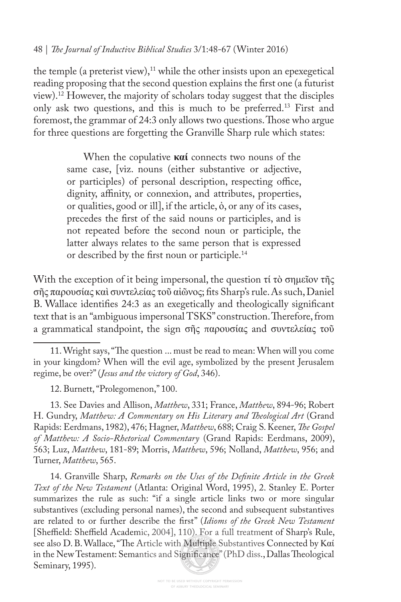the temple (a preterist view), $11$  while the other insists upon an epexegetical reading proposing that the second question explains the frst one (a futurist view).12 However, the majority of scholars today suggest that the disciples only ask two questions, and this is much to be preferred.<sup>13</sup> First and foremost, the grammar of 24:3 only allows two questions. Those who argue for three questions are forgetting the Granville Sharp rule which states:

> When the copulative **καί** connects two nouns of the same case, [viz. nouns (either substantive or adjective, or participles) of personal description, respecting office, dignity, affinity, or connexion, and attributes, properties, or qualities, good or ill, if the article,  $\dot{\phi}$ , or any of its cases, precedes the frst of the said nouns or participles, and is not repeated before the second noun or participle, the latter always relates to the same person that is expressed or described by the frst noun or participle.14

With the exception of it being impersonal, the question τί τὸ σημεῖον τῆς σῆς παρουσίας καὶ συντελείας τοῦ αἰῶνος; fts Sharp's rule. As such, Daniel B. Wallace identifes 24:3 as an exegetically and theologically signifcant text that is an "ambiguous impersonal TSKS" construction. Therefore, from a grammatical standpoint, the sign σῆς παρουσίας and συντελείας τοῦ

13. See Davies and Allison, *Matthew*, 331; France, *Matthew*, 894-96; Robert H. Gundry, *Matthew: A Commentary on His Literary and Teological Art* (Grand Rapids: Eerdmans, 1982), 476; Hagner, *Matthew*, 688; Craig S. Keener, *Te Gospel of Matthew: A Socio-Rhetorical Commentary* (Grand Rapids: Eerdmans, 2009), 563; Luz, *Matthew*, 181-89; Morris, *Matthew*, 596; Nolland, *Matthew*, 956; and Turner, *Matthew*, 565.

14. Granville Sharp, *Remarks on the Uses of the Defnite Article in the Greek Text of the New Testament* (Atlanta: Original Word, 1995), 2. Stanley E. Porter summarizes the rule as such: "if a single article links two or more singular substantives (excluding personal names), the second and subsequent substantives are related to or further describe the frst" (*Idioms of the Greek New Testament*  [Sheffield: Sheffield Academic, 2004], 110). For a full treatment of Sharp's Rule, see also D. B. Wallace, "The Article with Multiple Substantives Connected by Καί in the New Testament: Semantics and Significance" (PhD diss., Dallas Theological Seminary, 1995).

<sup>11.</sup> Wright says, "The question ... must be read to mean: When will you come in your kingdom? When will the evil age, symbolized by the present Jerusalem regime, be over?" (*Jesus and the victory of God*, 346).

<sup>12.</sup> Burnett, "Prolegomenon," 100.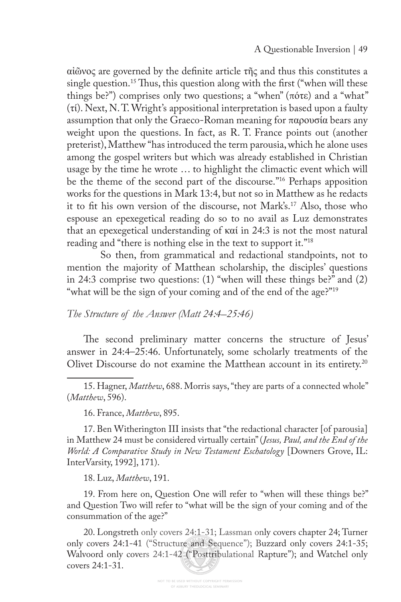αἰῶνος are governed by the defnite article τῆς and thus this constitutes a single question.<sup>15</sup> Thus, this question along with the first ("when will these things be?") comprises only two questions; a "when" (πότε) and a "what" (τί). Next, N. T. Wright's appositional interpretation is based upon a faulty assumption that only the Graeco-Roman meaning for παρουσία bears any weight upon the questions. In fact, as R. T. France points out (another preterist), Matthew "has introduced the term parousia, which he alone uses among the gospel writers but which was already established in Christian usage by the time he wrote … to highlight the climactic event which will be the theme of the second part of the discourse."16 Perhaps apposition works for the questions in Mark 13:4, but not so in Matthew as he redacts it to ft his own version of the discourse, not Mark's.17 Also, those who espouse an epexegetical reading do so to no avail as Luz demonstrates that an epexegetical understanding of καί in 24:3 is not the most natural reading and "there is nothing else in the text to support it."<sup>18</sup>

 So then, from grammatical and redactional standpoints, not to mention the majority of Matthean scholarship, the disciples' questions in 24:3 comprise two questions: (1) "when will these things be?" and (2) "what will be the sign of your coming and of the end of the age?"<sup>19</sup>

### *The Structure of the Answer (Matt 24:4–25:46)*

The second preliminary matter concerns the structure of Jesus' answer in 24:4–25:46. Unfortunately, some scholarly treatments of the Olivet Discourse do not examine the Matthean account in its entirety.<sup>20</sup>

15. Hagner, *Matthew*, 688. Morris says, "they are parts of a connected whole" (*Matthew*, 596).

16. France, *Matthew*, 895.

17. Ben Witherington III insists that "the redactional character [of parousia] in Matthew 24 must be considered virtually certain" (*Jesus, Paul, and the End of the World: A Comparative Study in New Testament Eschatology* [Downers Grove, IL: InterVarsity, 1992], 171).

18. Luz, *Matthew*, 191.

19. From here on, Question One will refer to "when will these things be?" and Question Two will refer to "what will be the sign of your coming and of the consummation of the age?"

20. Longstreth only covers 24:1-31; Lassman only covers chapter 24; Turner only covers 24:1-41 ("Structure and Sequence"); Buzzard only covers 24:1-35; Walvoord only covers 24:1-42 ("Posttribulational Rapture"); and Watchel only covers 24:1-31.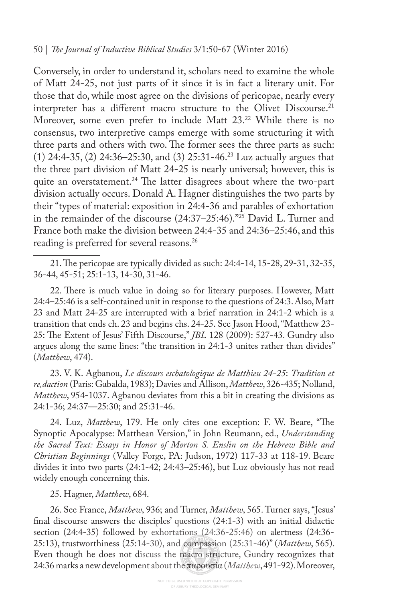Conversely, in order to understand it, scholars need to examine the whole of Matt 24-25, not just parts of it since it is in fact a literary unit. For those that do, while most agree on the divisions of pericopae, nearly every interpreter has a different macro structure to the Olivet Discourse.<sup>21</sup> Moreover, some even prefer to include Matt 23.22 While there is no consensus, two interpretive camps emerge with some structuring it with three parts and others with two. The former sees the three parts as such: (1) 24:4-35, (2) 24:36–25:30, and (3) 25:31-46.23 Luz actually argues that the three part division of Matt 24-25 is nearly universal; however, this is quite an overstatement.<sup>24</sup> The latter disagrees about where the two-part division actually occurs. Donald A. Hagner distinguishes the two parts by their "types of material: exposition in 24:4-36 and parables of exhortation in the remainder of the discourse (24:37–25:46)."25 David L. Turner and France both make the division between 24:4-35 and 24:36–25:46, and this reading is preferred for several reasons.<sup>26</sup>

21. The pericopae are typically divided as such: 24:4-14, 15-28, 29-31, 32-35, 36-44, 45-51; 25:1-13, 14-30, 31-46.

22. There is much value in doing so for literary purposes. However, Matt 24:4–25:46 is a self-contained unit in response to the questions of 24:3. Also, Matt 23 and Matt 24-25 are interrupted with a brief narration in 24:1-2 which is a transition that ends ch. 23 and begins chs. 24-25. See Jason Hood, "Matthew 23- 25: The Extent of Jesus' Fifth Discourse," *JBL* 128 (2009): 527-43. Gundry also argues along the same lines: "the transition in 24:1-3 unites rather than divides" (*Matthew*, 474).

23. V. K. Agbanou, *Le discours eschatologique de Matthieu 24-25*: *Tradition et re,daction* (Paris: Gabalda, 1983); Davies and Allison, *Matthew*, 326-435; Nolland, *Matthew*, 954-1037. Agbanou deviates from this a bit in creating the divisions as 24:1-36; 24:37—25:30; and 25:31-46.

24. Luz, *Matthew*, 179. He only cites one exception: F. W. Beare, "The Synoptic Apocalypse: Matthean Version," in John Reumann, ed., *Understanding the Sacred Text: Essays in Honor of Morton S. Enslin on the Hebrew Bible and Christian Beginnings* (Valley Forge, PA: Judson, 1972) 117-33 at 118-19. Beare divides it into two parts (24:1-42; 24:43–25:46), but Luz obviously has not read widely enough concerning this.

25. Hagner, *Matthew*, 684.

26. See France, *Matthew*, 936; and Turner, *Matthew*, 565. Turner says, "Jesus' fnal discourse answers the disciples' questions (24:1-3) with an initial didactic section (24:4-35) followed by exhortations (24:36-25:46) on alertness (24:36- 25:13), trustworthiness (25:14-30), and compassion (25:31-46)" (*Matthew*, 565). Even though he does not discuss the macro structure, Gundry recognizes that 24:36 marks a new development about the παρουσία (*Matthew*, 491-92). Moreover,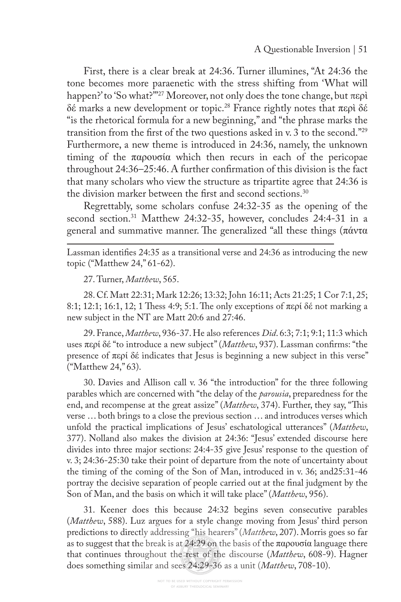First, there is a clear break at 24:36. Turner illumines, "At 24:36 the tone becomes more paraenetic with the stress shifting from 'What will happen?' to 'So what?'"27 Moreover, not only does the tone change, but περὶ δέ marks a new development or topic.28 France rightly notes that περὶ δέ "is the rhetorical formula for a new beginning," and "the phrase marks the transition from the frst of the two questions asked in v. 3 to the second."29 Furthermore, a new theme is introduced in 24:36, namely, the unknown timing of the παρουσία which then recurs in each of the pericopae throughout 24:36–25:46. A further confrmation of this division is the fact that many scholars who view the structure as tripartite agree that 24:36 is the division marker between the first and second sections.<sup>30</sup>

Regrettably, some scholars confuse 24:32-35 as the opening of the second section.<sup>31</sup> Matthew 24:32-35, however, concludes 24:4-31 in a general and summative manner. The generalized "all these things (πάντα

Lassman identifes 24:35 as a transitional verse and 24:36 as introducing the new topic ("Matthew 24," 61-62).

27. Turner, *Matthew*, 565.

28. Cf. Matt 22:31; Mark 12:26; 13:32; John 16:11; Acts 21:25; 1 Cor 7:1, 25; 8:1; 12:1; 16:1, 12; 1 Thess 4:9; 5:1. The only exceptions of  $\pi \epsilon \rho i$  δέ not marking a new subject in the NT are Matt 20:6 and 27:46.

29. France, *Matthew*, 936-37. He also references *Did*. 6:3; 7:1; 9:1; 11:3 which uses περί δέ "to introduce a new subject" (*Matthew*, 937). Lassman confrms: "the presence of περί δέ indicates that Jesus is beginning a new subject in this verse" ("Matthew 24," 63).

30. Davies and Allison call v. 36 "the introduction" for the three following parables which are concerned with "the delay of the *parousia*, preparedness for the end, and recompense at the great assize" (*Matthew*, 374). Further, they say, "This verse … both brings to a close the previous section … and introduces verses which unfold the practical implications of Jesus' eschatological utterances" (*Matthew*, 377). Nolland also makes the division at 24:36: "Jesus' extended discourse here divides into three major sections: 24:4-35 give Jesus' response to the question of v. 3; 24:36-25:30 take their point of departure from the note of uncertainty about the timing of the coming of the Son of Man, introduced in v. 36; and25:31-46 portray the decisive separation of people carried out at the fnal judgment by the Son of Man, and the basis on which it will take place" (*Matthew*, 956).

31. Keener does this because 24:32 begins seven consecutive parables (*Matthew*, 588). Luz argues for a style change moving from Jesus' third person predictions to directly addressing "his hearers" (*Matthew*, 207). Morris goes so far as to suggest that the break is at 24:29 on the basis of the παρουσία language there that continues throughout the rest of the discourse (*Matthew*, 608-9). Hagner does something similar and sees 24:29-36 as a unit (*Matthew*, 708-10).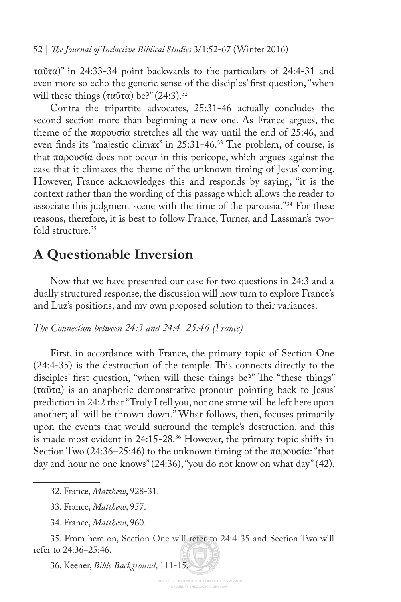52 | *Te Journal of Inductive Biblical Studies* 3/1:52-67 (Winter 2016)

ταῦτα)" in 24:33-34 point backwards to the particulars of 24:4-31 and even more so echo the generic sense of the disciples' frst question, "when will these things  $(\tau \alpha \tilde{\nu} \tau \alpha)$  be?" (24:3).<sup>32</sup>

Contra the tripartite advocates, 25:31-46 actually concludes the second section more than beginning a new one. As France argues, the theme of the παρουσία stretches all the way until the end of 25:46, and even finds its "majestic climax" in 25:31-46.<sup>33</sup> The problem, of course, is that παρουσία does not occur in this pericope, which argues against the case that it climaxes the theme of the unknown timing of Jesus' coming. However, France acknowledges this and responds by saying, "it is the context rather than the wording of this passage which allows the reader to associate this judgment scene with the time of the parousia."<sup>34</sup> For these reasons, therefore, it is best to follow France, Turner, and Lassman's twofold structure.<sup>35</sup>

## **A Questionable Inversion**

Now that we have presented our case for two questions in 24:3 and a dually structured response, the discussion will now turn to explore France's and Luz's positions, and my own proposed solution to their variances.

### *The Connection between 24:3 and 24:4–25:46 (France)*

First, in accordance with France, the primary topic of Section One  $(24:4-35)$  is the destruction of the temple. This connects directly to the disciples' first question, "when will these things be?" The "these things" (ταῦτα) is an anaphoric demonstrative pronoun pointing back to Jesus' prediction in 24:2 that "Truly I tell you, not one stone will be left here upon another; all will be thrown down." What follows, then, focuses primarily upon the events that would surround the temple's destruction, and this is made most evident in 24:15-28.<sup>36</sup> However, the primary topic shifts in Section Two (24:36–25:46) to the unknown timing of the παρουσία: "that day and hour no one knows" (24:36), "you do not know on what day" (42),

36. Keener, *Bible Background*, 111-15.

<sup>32.</sup> France, *Matthew*, 928-31.

<sup>33.</sup> France, *Matthew*, 957.

<sup>34.</sup> France, *Matthew*, 960.

<sup>35.</sup> From here on, Section One will refer to 24:4-35 and Section Two will refer to 24:36–25:46.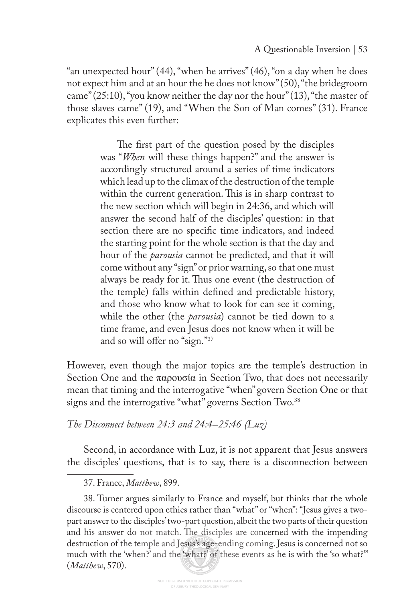"an unexpected hour" (44), "when he arrives" (46), "on a day when he does not expect him and at an hour the he does not know" (50), "the bridegroom came" (25:10), "you know neither the day nor the hour" (13), "the master of those slaves came" (19), and "When the Son of Man comes" (31). France explicates this even further:

> The first part of the question posed by the disciples was "*When* will these things happen?" and the answer is accordingly structured around a series of time indicators which lead up to the climax of the destruction of the temple within the current generation. This is in sharp contrast to the new section which will begin in 24:36, and which will answer the second half of the disciples' question: in that section there are no specifc time indicators, and indeed the starting point for the whole section is that the day and hour of the *parousia* cannot be predicted, and that it will come without any "sign" or prior warning, so that one must always be ready for it. Thus one event (the destruction of the temple) falls within defned and predictable history, and those who know what to look for can see it coming, while the other (the *parousia*) cannot be tied down to a time frame, and even Jesus does not know when it will be and so will offer no "sign."37

However, even though the major topics are the temple's destruction in Section One and the  $\pi\alpha\rho o\nu\sigma\alpha$  in Section Two, that does not necessarily mean that timing and the interrogative "when" govern Section One or that signs and the interrogative "what" governs Section Two.<sup>38</sup>

*The Disconnect between 24:3 and 24:4–25:46 (Luz)*

Second, in accordance with Luz, it is not apparent that Jesus answers the disciples' questions, that is to say, there is a disconnection between

37. France, *Matthew*, 899.

<sup>38.</sup> Turner argues similarly to France and myself, but thinks that the whole discourse is centered upon ethics rather than "what" or "when": "Jesus gives a twopart answer to the disciples' two-part question, albeit the two parts of their question and his answer do not match. The disciples are concerned with the impending destruction of the temple and Jesus's age-ending coming. Jesus is concerned not so much with the 'when?' and the 'what?' of these events as he is with the 'so what?'" (*Matthew*, 570).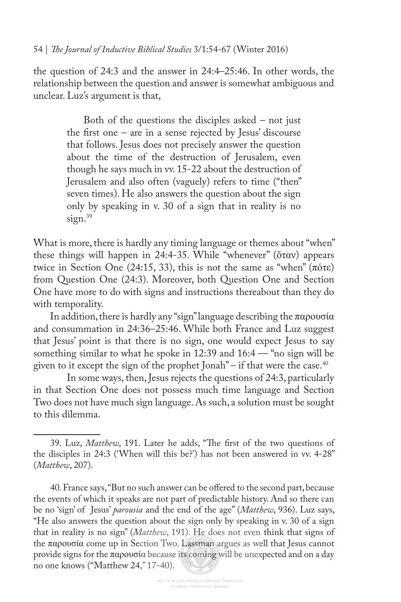the question of 24:3 and the answer in 24:4–25:46. In other words, the relationship between the question and answer is somewhat ambiguous and unclear. Luz's argument is that,

> Both of the questions the disciples asked – not just the frst one – are in a sense rejected by Jesus' discourse that follows. Jesus does not precisely answer the question about the time of the destruction of Jerusalem, even though he says much in vv. 15-22 about the destruction of Jerusalem and also often (vaguely) refers to time ("then" seven times). He also answers the question about the sign only by speaking in v. 30 of a sign that in reality is no sign.<sup>39</sup>

What is more, there is hardly any timing language or themes about "when" these things will happen in 24:4-35. While "whenever" (ὅταν) appears twice in Section One (24:15, 33), this is not the same as "when" (πότε) from Question One (24:3). Moreover, both Question One and Section One have more to do with signs and instructions thereabout than they do with temporality.

In addition, there is hardly any "sign" language describing the παρουσία and consummation in 24:36–25:46. While both France and Luz suggest that Jesus' point is that there is no sign, one would expect Jesus to say something similar to what he spoke in 12:39 and 16:4 — "no sign will be given to it except the sign of the prophet Jonah" – if that were the case. $40$ 

 In some ways, then, Jesus rejects the questions of 24:3, particularly in that Section One does not possess much time language and Section Two does not have much sign language. As such, a solution must be sought to this dilemma.

<sup>39.</sup> Luz, *Matthew*, 191. Later he adds, "The first of the two questions of the disciples in 24:3 ('When will this be?') has not been answered in vv. 4-28" (*Matthew*, 207).

<sup>40.</sup> France says, "But no such answer can be offered to the second part, because the events of which it speaks are not part of predictable history. And so there can be no 'sign' of Jesus' *parousia* and the end of the age" (*Matthew*, 936). Luz says, "He also answers the question about the sign only by speaking in v. 30 of a sign that in reality is no sign" (*Matthew*, 191). He does not even think that signs of the παρουσία come up in Section Two. Lassman argues as well that Jesus cannot provide signs for the παρουσία because its coming will be unexpected and on a day no one knows ("Matthew 24," 17-40).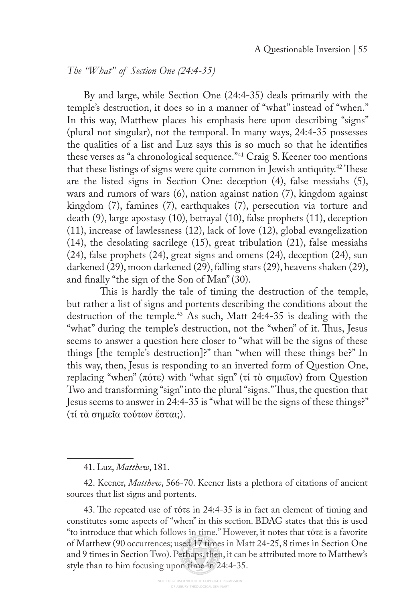### *The "What" of Section One (24:4-35)*

By and large, while Section One (24:4-35) deals primarily with the temple's destruction, it does so in a manner of "what" instead of "when." In this way, Matthew places his emphasis here upon describing "signs" (plural not singular), not the temporal. In many ways, 24:4-35 possesses the qualities of a list and Luz says this is so much so that he identifes these verses as "a chronological sequence."41 Craig S. Keener too mentions that these listings of signs were quite common in Jewish antiquity.<sup>42</sup> These are the listed signs in Section One: deception (4), false messiahs (5), wars and rumors of wars (6), nation against nation (7), kingdom against kingdom (7), famines (7), earthquakes (7), persecution via torture and death (9), large apostasy (10), betrayal (10), false prophets (11), deception (11), increase of lawlessness (12), lack of love (12), global evangelization (14), the desolating sacrilege (15), great tribulation (21), false messiahs (24), false prophets (24), great signs and omens (24), deception (24), sun darkened (29), moon darkened (29), falling stars (29), heavens shaken (29), and fnally "the sign of the Son of Man" (30).

This is hardly the tale of timing the destruction of the temple, but rather a list of signs and portents describing the conditions about the destruction of the temple.43 As such, Matt 24:4-35 is dealing with the "what" during the temple's destruction, not the "when" of it. Thus, Jesus seems to answer a question here closer to "what will be the signs of these things [the temple's destruction]?" than "when will these things be?" In this way, then, Jesus is responding to an inverted form of Question One, replacing "when" (πότε) with "what sign" (τί τὸ σημεῖον) from Question Two and transforming "sign" into the plural "signs." Thus, the question that Jesus seems to answer in 24:4-35 is "what will be the signs of these things?" (τί τὰ σημεῖα τούτων ἔσται;).

<sup>41.</sup> Luz, *Matthew*, 181.

<sup>42.</sup> Keener, *Matthew*, 566-70. Keener lists a plethora of citations of ancient sources that list signs and portents.

<sup>43.</sup> The repeated use of τότε in 24:4-35 is in fact an element of timing and constitutes some aspects of "when" in this section. BDAG states that this is used "to introduce that which follows in time." However, it notes that τότε is a favorite of Matthew (90 occurrences; used 17 times in Matt 24-25, 8 times in Section One and 9 times in Section Two). Perhaps, then, it can be attributed more to Matthew's style than to him focusing upon time in 24:4-35.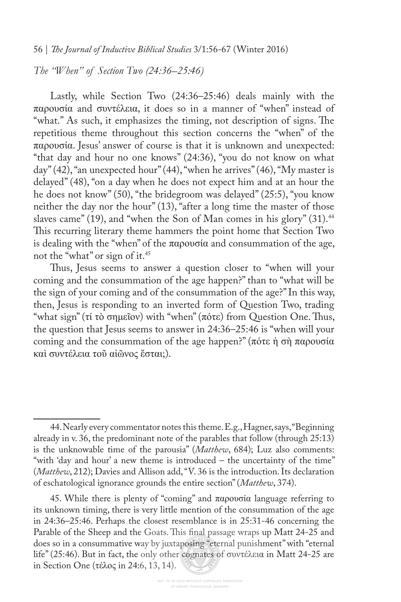56 | *Te Journal of Inductive Biblical Studies* 3/1:56-67 (Winter 2016)

*The "When" of Section Two (24:36–25:46)*

Lastly, while Section Two (24:36–25:46) deals mainly with the παρουσία and συντέλεια, it does so in a manner of "when" instead of "what." As such, it emphasizes the timing, not description of signs. The repetitious theme throughout this section concerns the "when" of the παρουσία. Jesus' answer of course is that it is unknown and unexpected: "that day and hour no one knows" (24:36), "you do not know on what day" (42), "an unexpected hour" (44), "when he arrives" (46), "My master is delayed" (48), "on a day when he does not expect him and at an hour the he does not know" (50), "the bridegroom was delayed" (25:5), "you know neither the day nor the hour" (13), "after a long time the master of those slaves came" (19), and "when the Son of Man comes in his glory" (31).<sup>44</sup> This recurring literary theme hammers the point home that Section Two is dealing with the "when" of the παρουσία and consummation of the age, not the "what" or sign of it.45

Thus, Jesus seems to answer a question closer to "when will your coming and the consummation of the age happen?" than to "what will be the sign of your coming and of the consummation of the age?" In this way, then, Jesus is responding to an inverted form of Question Two, trading "what sign" (τί τὸ σημεῖον) with "when" (πότε) from Question One. Tus, the question that Jesus seems to answer in 24:36–25:46 is "when will your coming and the consummation of the age happen?" (πότε ἡ σὴ παρουσία καὶ συντέλεια τοῦ αἰῶνος ἔσται;).

<sup>44.</sup> Nearly every commentator notes this theme. E.g., Hagner, says, "Beginning already in v. 36, the predominant note of the parables that follow (through 25:13) is the unknowable time of the parousia" (*Matthew*, 684); Luz also comments: "with 'day and hour' a new theme is introduced – the uncertainty of the time" (*Matthew*, 212); Davies and Allison add, "V. 36 is the introduction. Its declaration of eschatological ignorance grounds the entire section" (*Matthew*, 374).

<sup>45.</sup> While there is plenty of "coming" and παρουσία language referring to its unknown timing, there is very little mention of the consummation of the age in 24:36–25:46. Perhaps the closest resemblance is in 25:31-46 concerning the Parable of the Sheep and the Goats. This final passage wraps up Matt 24-25 and does so in a consummative way by juxtaposing "eternal punishment" with "eternal life" (25:46). But in fact, the only other cognates of συντέλεια in Matt 24-25 are in Section One (τέλος in 24:6, 13, 14).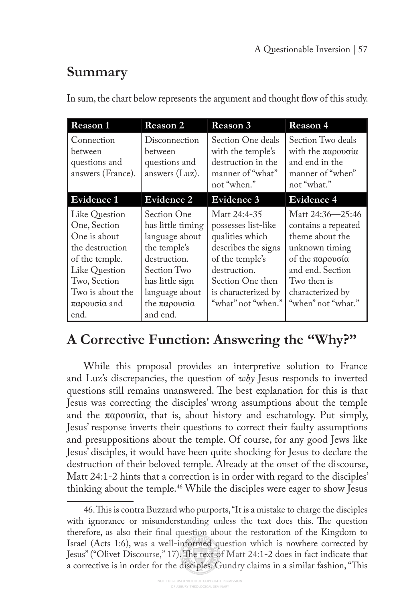# **Summary**

In sum, the chart below represents the argument and thought flow of this study.

| Reason 1                                                                                                                                                                         | Reason 2                                                                                                                                                                    | Reason 3                                                                                                                                                                          | Reason 4                                                                                                                                                                     |
|----------------------------------------------------------------------------------------------------------------------------------------------------------------------------------|-----------------------------------------------------------------------------------------------------------------------------------------------------------------------------|-----------------------------------------------------------------------------------------------------------------------------------------------------------------------------------|------------------------------------------------------------------------------------------------------------------------------------------------------------------------------|
| Connection<br>between<br>questions and<br>answers (France).                                                                                                                      | Disconnection<br>between<br>questions and<br>answers $(Luz)$ .                                                                                                              | Section One deals<br>with the temple's<br>destruction in the<br>manner of "what"<br>not "when."                                                                                   | Section Two deals<br>with the $\pi\alpha\rho\omega\sigma\alpha$<br>and end in the<br>manner of "when"<br>not "what."                                                         |
| <b>Evidence 1</b>                                                                                                                                                                | Evidence 2                                                                                                                                                                  | Evidence 3                                                                                                                                                                        | <b>Evidence 4</b>                                                                                                                                                            |
| Like Question<br>One, Section<br>One is about<br>the destruction<br>of the temple.<br>Like Question<br>Two, Section<br>Two is about the<br>$\pi\alpha\rho\omega\sigma\alpha$ and | Section One<br>has little timing<br>language about<br>the temple's<br>destruction.<br>Section Two<br>has little sign<br>language about<br>the $\pi\alpha\rho$ ovoi $\alpha$ | Matt 24:4-35<br>possesses list-like<br>qualities which<br>describes the signs<br>of the temple's<br>destruction.<br>Section One then<br>is characterized by<br>"what" not "when." | Matt 24:36-25:46<br>contains a repeated<br>theme about the<br>unknown timing<br>of the παρουσία<br>and end. Section<br>Two then is<br>characterized by<br>"when" not "what." |
| end.                                                                                                                                                                             | and end.                                                                                                                                                                    |                                                                                                                                                                                   |                                                                                                                                                                              |

## **A Corrective Function: Answering the "Why?"**

While this proposal provides an interpretive solution to France and Luz's discrepancies, the question of *why* Jesus responds to inverted questions still remains unanswered. The best explanation for this is that Jesus was correcting the disciples' wrong assumptions about the temple and the  $\pi \alpha \rho ovoi\alpha$ , that is, about history and eschatology. Put simply, Jesus' response inverts their questions to correct their faulty assumptions and presuppositions about the temple. Of course, for any good Jews like Jesus' disciples, it would have been quite shocking for Jesus to declare the destruction of their beloved temple. Already at the onset of the discourse, Matt 24:1-2 hints that a correction is in order with regard to the disciples' thinking about the temple.46 While the disciples were eager to show Jesus

<sup>46.</sup> This is contra Buzzard who purports, "It is a mistake to charge the disciples with ignorance or misunderstanding unless the text does this. The question therefore, as also their fnal question about the restoration of the Kingdom to Israel (Acts 1:6), was a well-informed question which is nowhere corrected by Jesus" ("Olivet Discourse," 17). Te text of Matt 24:1-2 does in fact indicate that a corrective is in order for the disciples. Gundry claims in a similar fashion, "Tis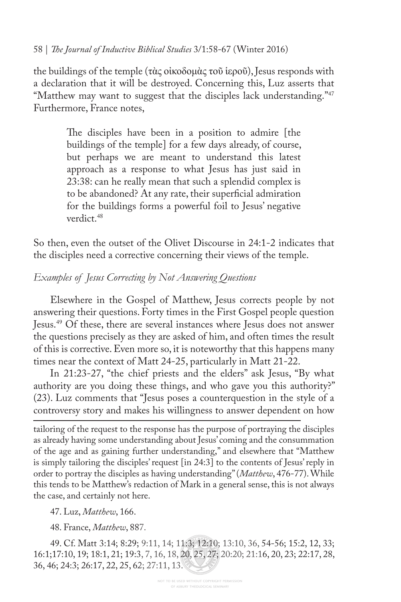### 58 | *Te Journal of Inductive Biblical Studies* 3/1:58-67 (Winter 2016)

the buildings of the temple (τὰς οἰκοδομὰς τοῦ ἱεροῦ), Jesus responds with a declaration that it will be destroyed. Concerning this, Luz asserts that "Matthew may want to suggest that the disciples lack understanding."<sup>47</sup> Furthermore, France notes,

> The disciples have been in a position to admire [the buildings of the temple] for a few days already, of course, but perhaps we are meant to understand this latest approach as a response to what Jesus has just said in 23:38: can he really mean that such a splendid complex is to be abandoned? At any rate, their superficial admiration for the buildings forms a powerful foil to Jesus' negative verdict.48

So then, even the outset of the Olivet Discourse in 24:1-2 indicates that the disciples need a corrective concerning their views of the temple.

### *Examples of Jesus Correcting by Not Answering Questions*

Elsewhere in the Gospel of Matthew, Jesus corrects people by not answering their questions. Forty times in the First Gospel people question Jesus.49 Of these, there are several instances where Jesus does not answer the questions precisely as they are asked of him, and often times the result of this is corrective. Even more so, it is noteworthy that this happens many times near the context of Matt 24-25, particularly in Matt 21-22.

In 21:23-27, "the chief priests and the elders" ask Jesus, "By what authority are you doing these things, and who gave you this authority?" (23). Luz comments that "Jesus poses a counterquestion in the style of a controversy story and makes his willingness to answer dependent on how

tailoring of the request to the response has the purpose of portraying the disciples as already having some understanding about Jesus' coming and the consummation of the age and as gaining further understanding," and elsewhere that "Matthew is simply tailoring the disciples' request [in 24:3] to the contents of Jesus' reply in order to portray the disciples as having understanding" (*Matthew*, 476-77). While this tends to be Matthew's redaction of Mark in a general sense, this is not always the case, and certainly not here.

47. Luz, *Matthew*, 166.

48. France, *Matthew*, 887.

49. Cf. Matt 3:14; 8:29; 9:11, 14; 11:3; 12:10; 13:10, 36, 54-56; 15:2, 12, 33; 16:1;17:10, 19; 18:1, 21; 19:3, 7, 16, 18, 20, 25, 27; 20:20; 21:16, 20, 23; 22:17, 28, 36, 46; 24:3; 26:17, 22, 25, 62; 27:11, 13.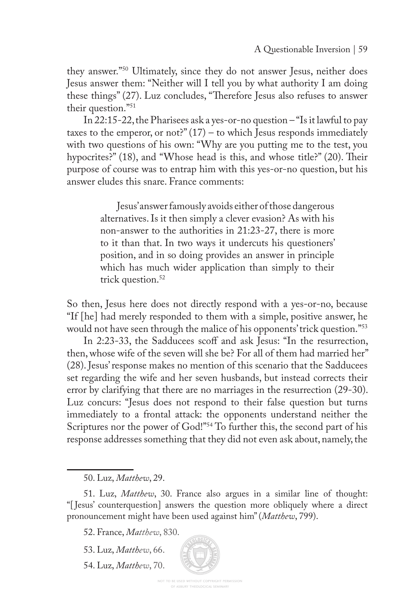they answer."50 Ultimately, since they do not answer Jesus, neither does Jesus answer them: "Neither will I tell you by what authority I am doing these things" (27). Luz concludes, "Therefore Jesus also refuses to answer their question."51

In 22:15-22, the Pharisees ask a yes-or-no question – "Is it lawful to pay taxes to the emperor, or not?"  $(17)$  – to which Jesus responds immediately with two questions of his own: "Why are you putting me to the test, you hypocrites?" (18), and "Whose head is this, and whose title?" (20). Their purpose of course was to entrap him with this yes-or-no question, but his answer eludes this snare. France comments:

> Jesus' answer famously avoids either of those dangerous alternatives. Is it then simply a clever evasion? As with his non-answer to the authorities in 21:23-27, there is more to it than that. In two ways it undercuts his questioners' position, and in so doing provides an answer in principle which has much wider application than simply to their trick question.<sup>52</sup>

So then, Jesus here does not directly respond with a yes-or-no, because "If [he] had merely responded to them with a simple, positive answer, he would not have seen through the malice of his opponents' trick question."<sup>53</sup>

In 2:23-33, the Sadducees scoff and ask Jesus: "In the resurrection, then, whose wife of the seven will she be? For all of them had married her" (28). Jesus' response makes no mention of this scenario that the Sadducees set regarding the wife and her seven husbands, but instead corrects their error by clarifying that there are no marriages in the resurrection (29-30). Luz concurs: "Jesus does not respond to their false question but turns immediately to a frontal attack: the opponents understand neither the Scriptures nor the power of God!"<sup>54</sup> To further this, the second part of his response addresses something that they did not even ask about, namely, the

54. Luz, *Matthew*, 70.

<sup>50.</sup> Luz, *Matthew*, 29.

<sup>51.</sup> Luz, *Matthew*, 30. France also argues in a similar line of thought: "[ Jesus' counterquestion] answers the question more obliquely where a direct pronouncement might have been used against him" (*Matthew*, 799).

<sup>52.</sup> France, *Matthew*, 830.

<sup>53.</sup> Luz, *Matthew*, 66.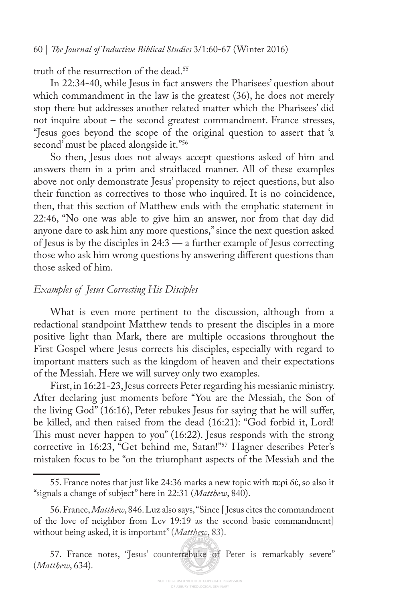#### 60 | *Te Journal of Inductive Biblical Studies* 3/1:60-67 (Winter 2016)

truth of the resurrection of the dead.<sup>55</sup>

In 22:34-40, while Jesus in fact answers the Pharisees' question about which commandment in the law is the greatest (36), he does not merely stop there but addresses another related matter which the Pharisees' did not inquire about – the second greatest commandment. France stresses, "Jesus goes beyond the scope of the original question to assert that 'a second' must be placed alongside it."56

So then, Jesus does not always accept questions asked of him and answers them in a prim and straitlaced manner. All of these examples above not only demonstrate Jesus' propensity to reject questions, but also their function as correctives to those who inquired. It is no coincidence, then, that this section of Matthew ends with the emphatic statement in 22:46, "No one was able to give him an answer, nor from that day did anyone dare to ask him any more questions," since the next question asked of Jesus is by the disciples in 24:3 — a further example of Jesus correcting those who ask him wrong questions by answering diferent questions than those asked of him.

#### *Examples of Jesus Correcting His Disciples*

What is even more pertinent to the discussion, although from a redactional standpoint Matthew tends to present the disciples in a more positive light than Mark, there are multiple occasions throughout the First Gospel where Jesus corrects his disciples, especially with regard to important matters such as the kingdom of heaven and their expectations of the Messiah. Here we will survey only two examples.

First, in 16:21-23, Jesus corrects Peter regarding his messianic ministry. After declaring just moments before "You are the Messiah, the Son of the living God" (16:16), Peter rebukes Jesus for saying that he will sufer, be killed, and then raised from the dead (16:21): "God forbid it, Lord! This must never happen to you" (16:22). Jesus responds with the strong corrective in 16:23, "Get behind me, Satan!"57 Hagner describes Peter's mistaken focus to be "on the triumphant aspects of the Messiah and the

<sup>55.</sup> France notes that just like 24:36 marks a new topic with περὶ δέ, so also it "signals a change of subject" here in 22:31 (*Matthew*, 840).

<sup>56.</sup> France, *Matthew*, 846. Luz also says, "Since [ Jesus cites the commandment of the love of neighbor from Lev 19:19 as the second basic commandment] without being asked, it is important" (*Matthew*, 83).

<sup>57.</sup> France notes, "Jesus' counterrebuke of Peter is remarkably severe" (*Matthew*, 634).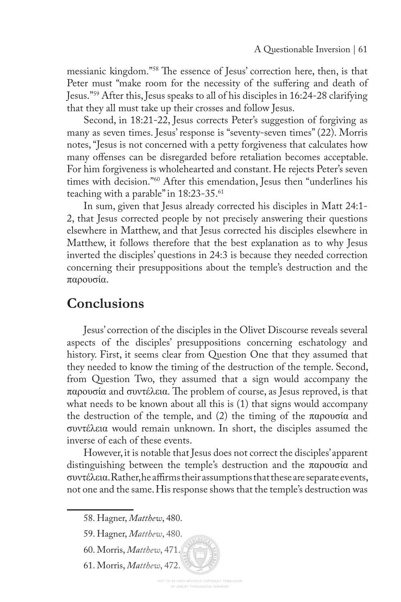messianic kingdom."<sup>58</sup> The essence of Jesus' correction here, then, is that Peter must "make room for the necessity of the sufering and death of Jesus."59 After this, Jesus speaks to all of his disciples in 16:24-28 clarifying that they all must take up their crosses and follow Jesus.

Second, in 18:21-22, Jesus corrects Peter's suggestion of forgiving as many as seven times. Jesus' response is "seventy-seven times" (22). Morris notes, "Jesus is not concerned with a petty forgiveness that calculates how many offenses can be disregarded before retaliation becomes acceptable. For him forgiveness is wholehearted and constant. He rejects Peter's seven times with decision."60 After this emendation, Jesus then "underlines his teaching with a parable" in 18:23-35.61

In sum, given that Jesus already corrected his disciples in Matt 24:1- 2, that Jesus corrected people by not precisely answering their questions elsewhere in Matthew, and that Jesus corrected his disciples elsewhere in Matthew, it follows therefore that the best explanation as to why Jesus inverted the disciples' questions in 24:3 is because they needed correction concerning their presuppositions about the temple's destruction and the παρουσία.

## **Conclusions**

Jesus' correction of the disciples in the Olivet Discourse reveals several aspects of the disciples' presuppositions concerning eschatology and history. First, it seems clear from Question One that they assumed that they needed to know the timing of the destruction of the temple. Second, from Question Two, they assumed that a sign would accompany the παρουσία and συντέλεια. The problem of course, as Jesus reproved, is that what needs to be known about all this is (1) that signs would accompany the destruction of the temple, and (2) the timing of the παρουσία and συντέλεια would remain unknown. In short, the disciples assumed the inverse of each of these events.

However, it is notable that Jesus does not correct the disciples' apparent distinguishing between the temple's destruction and the παρουσία and συντέλεια. Rather, he afrms their assumptions that these are separate events, not one and the same. His response shows that the temple's destruction was

- 60. Morris, *Matthew*, 471.
- 61. Morris, *Matthew*, 472.

<sup>58.</sup> Hagner, *Matthew*, 480.

<sup>59.</sup> Hagner, *Matthew*, 480.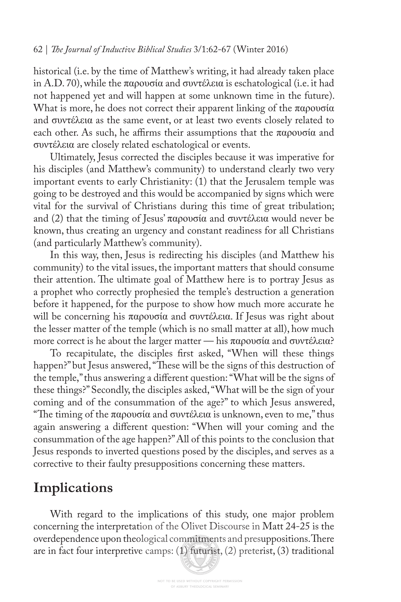historical (i.e. by the time of Matthew's writing, it had already taken place in A.D. 70), while the παρουσία and συντέλεια is eschatological (i.e. it had not happened yet and will happen at some unknown time in the future). What is more, he does not correct their apparent linking of the παρουσία and συντέλεια as the same event, or at least two events closely related to each other. As such, he affirms their assumptions that the παρουσία and συντέλεια are closely related eschatological or events.

Ultimately, Jesus corrected the disciples because it was imperative for his disciples (and Matthew's community) to understand clearly two very important events to early Christianity: (1) that the Jerusalem temple was going to be destroyed and this would be accompanied by signs which were vital for the survival of Christians during this time of great tribulation; and (2) that the timing of Jesus' παρουσία and συντέλεια would never be known, thus creating an urgency and constant readiness for all Christians (and particularly Matthew's community).

In this way, then, Jesus is redirecting his disciples (and Matthew his community) to the vital issues, the important matters that should consume their attention. The ultimate goal of Matthew here is to portray Jesus as a prophet who correctly prophesied the temple's destruction a generation before it happened, for the purpose to show how much more accurate he will be concerning his παρουσία and συντέλεια. If Jesus was right about the lesser matter of the temple (which is no small matter at all), how much more correct is he about the larger matter — his παρουσία and συντέλεια?

To recapitulate, the disciples frst asked, "When will these things happen?" but Jesus answered, "These will be the signs of this destruction of the temple," thus answering a diferent question: "What will be the signs of these things?" Secondly, the disciples asked, "What will be the sign of your coming and of the consummation of the age?" to which Jesus answered, "The timing of the παρουσία and συντέλεια is unknown, even to me," thus again answering a diferent question: "When will your coming and the consummation of the age happen?" All of this points to the conclusion that Jesus responds to inverted questions posed by the disciples, and serves as a corrective to their faulty presuppositions concerning these matters.

## **Implications**

With regard to the implications of this study, one major problem concerning the interpretation of the Olivet Discourse in Matt 24-25 is the overdependence upon theological commitments and presuppositions. There are in fact four interpretive camps: (1) futurist, (2) preterist, (3) traditional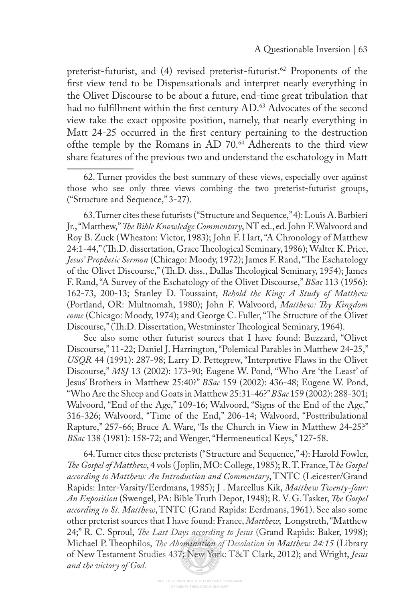preterist-futurist, and (4) revised preterist-futurist.<sup>62</sup> Proponents of the frst view tend to be Dispensationals and interpret nearly everything in the Olivet Discourse to be about a future, end-time great tribulation that had no fulfillment within the first century AD.<sup>63</sup> Advocates of the second view take the exact opposite position, namely, that nearly everything in Matt 24-25 occurred in the frst century pertaining to the destruction of the temple by the Romans in AD 70.<sup>64</sup> Adherents to the third view share features of the previous two and understand the eschatology in Matt

63. Turner cites these futurists ("Structure and Sequence," 4): Louis A. Barbieri Jr., "Matthew," *Te Bible Knowledge Commentary*, NT ed., ed. John F. Walvoord and Roy B. Zuck (Wheaton: Victor, 1983); John F. Hart, "A Chronology of Matthew 24:1-44," (Th.D. dissertation, Grace Theological Seminary, 1986); Walter K. Price, *Jesus' Prophetic Sermon* (Chicago: Moody, 1972); James F. Rand, "The Eschatology of the Olivet Discourse," (Th.D. diss., Dallas Theological Seminary, 1954); James F. Rand, "A Survey of the Eschatology of the Olivet Discourse," *BSac* 113 (1956): 162-73, 200-13; Stanley D. Toussaint, *Behold the King: A Study of Matthew*  (Portland, OR: Multnomah, 1980); John F. Walvoord, *Matthew: Ty Kingdom*  come (Chicago: Moody, 1974); and George C. Fuller, "The Structure of the Olivet Discourse," (Th.D. Dissertation, Westminster Theological Seminary, 1964).

See also some other futurist sources that I have found: Buzzard, "Olivet Discourse," 11-22; Daniel J. Harrington, "Polemical Parables in Matthew 24-25," *USQR* 44 (1991): 287-98; Larry D. Pettegrew, "Interpretive Flaws in the Olivet Discourse," *MSJ* 13 (2002): 173-90; Eugene W. Pond, "Who Are 'the Least' of Jesus' Brothers in Matthew 25:40?" *BSac* 159 (2002): 436-48; Eugene W. Pond, "Who Are the Sheep and Goats in Matthew 25:31-46?" *BSac* 159 (2002): 288-301; Walvoord, "End of the Age," 109-16; Walvoord, "Signs of the End of the Age," 316-326; Walvoord, "Time of the End," 206-14; Walvoord, "Posttribulational Rapture," 257-66; Bruce A. Ware, "Is the Church in View in Matthew 24-25?" *BSac* 138 (1981): 158-72; and Wenger, "Hermeneutical Keys," 127-58.

64. Turner cites these preterists ("Structure and Sequence," 4): Harold Fowler, *Te Gospel of Matthew*, 4 vols ( Joplin, MO: College, 1985); R. T. France, T*he Gospel according to Matthew: An Introduction and Commentary*, TNTC (Leicester/Grand Rapids: Inter-Varsity/Eerdmans, 1985); J . Marcellus Kik, *Matthew Twenty-four: An Exposition* (Swengel, PA: Bible Truth Depot, 1948); R. V. G. Tasker, *Te Gospel according to St. Matthew*, TNTC (Grand Rapids: Eerdmans, 1961). See also some other preterist sources that I have found: France, *Matthew*; Longstreth, "Matthew 24;" R. C. Sproul, *Te Last Days according to Jesus* (Grand Rapids: Baker, 1998); Michael P. Theophilos, *The Abomination of Desolation in Matthew 24:15* (Library of New Testament Studies 437; New York: T&T Clark, 2012); and Wright, *Jesus and the victory of God*.

<sup>62.</sup> Turner provides the best summary of these views, especially over against those who see only three views combing the two preterist-futurist groups, ("Structure and Sequence," 3-27).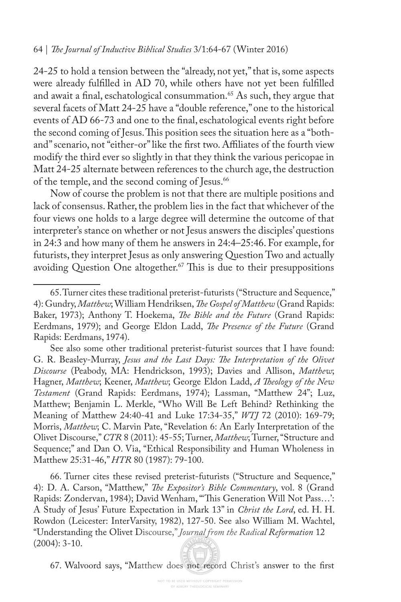#### 64 | *Te Journal of Inductive Biblical Studies* 3/1:64-67 (Winter 2016)

24-25 to hold a tension between the "already, not yet," that is, some aspects were already fulflled in AD 70, while others have not yet been fulflled and await a final, eschatological consummation.<sup>65</sup> As such, they argue that several facets of Matt 24-25 have a "double reference," one to the historical events of AD 66-73 and one to the fnal, eschatological events right before the second coming of Jesus. This position sees the situation here as a "bothand" scenario, not "either-or" like the frst two. Afliates of the fourth view modify the third ever so slightly in that they think the various pericopae in Matt 24-25 alternate between references to the church age, the destruction of the temple, and the second coming of Jesus.<sup>66</sup>

Now of course the problem is not that there are multiple positions and lack of consensus. Rather, the problem lies in the fact that whichever of the four views one holds to a large degree will determine the outcome of that interpreter's stance on whether or not Jesus answers the disciples' questions in 24:3 and how many of them he answers in 24:4–25:46. For example, for futurists, they interpret Jesus as only answering Question Two and actually avoiding Question One altogether.<sup>67</sup> This is due to their presuppositions

66. Turner cites these revised preterist-futurists ("Structure and Sequence," 4): D. A. Carson, "Matthew," *Te Expositor's Bible Commentary*, vol. 8 (Grand Rapids: Zondervan, 1984); David Wenham, "This Generation Will Not Pass...': A Study of Jesus' Future Expectation in Mark 13" in *Christ the Lord*, ed. H. H. Rowdon (Leicester: InterVarsity, 1982), 127-50. See also William M. Wachtel, "Understanding the Olivet Discourse," *Journal from the Radical Reformation* 12 (2004): 3-10.

67. Walvoord says, "Matthew does not record Christ's answer to the frst

<sup>65.</sup> Turner cites these traditional preterist-futurists ("Structure and Sequence," 4): Gundry, *Matthew*; William Hendriksen, *Te Gospel of Matthew* (Grand Rapids: Baker, 1973); Anthony T. Hoekema, *Te Bible and the Future* (Grand Rapids: Eerdmans, 1979); and George Eldon Ladd, *Te Presence of the Future* (Grand Rapids: Eerdmans, 1974).

See also some other traditional preterist-futurist sources that I have found: G. R. Beasley-Murray, *Jesus and the Last Days: Te Interpretation of the Olivet Discourse* (Peabody, MA: Hendrickson, 1993); Davies and Allison, *Matthew*; Hagner, *Matthew*; Keener, *Matthew*; George Eldon Ladd, *A Teology of the New Testament* (Grand Rapids: Eerdmans, 1974); Lassman, "Matthew 24"; Luz, Matthew; Benjamin L. Merkle, "Who Will Be Left Behind? Rethinking the Meaning of Matthew 24:40-41 and Luke 17:34-35," *WTJ* 72 (2010): 169-79; Morris, *Matthew*; C. Marvin Pate, "Revelation 6: An Early Interpretation of the Olivet Discourse," *CTR* 8 (2011): 45-55; Turner, *Matthew*; Turner, "Structure and Sequence;" and Dan O. Via, "Ethical Responsibility and Human Wholeness in Matthew 25:31-46," *HTR* 80 (1987): 79-100.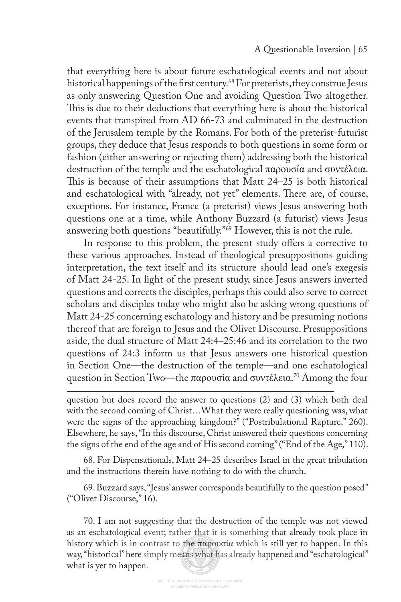that everything here is about future eschatological events and not about historical happenings of the first century.<sup>68</sup> For preterists, they construe Jesus as only answering Question One and avoiding Question Two altogether. This is due to their deductions that everything here is about the historical events that transpired from AD 66-73 and culminated in the destruction of the Jerusalem temple by the Romans. For both of the preterist-futurist groups, they deduce that Jesus responds to both questions in some form or fashion (either answering or rejecting them) addressing both the historical destruction of the temple and the eschatological παρουσία and συντέλεια. This is because of their assumptions that Matt  $24-25$  is both historical and eschatological with "already, not yet" elements. There are, of course, exceptions. For instance, France (a preterist) views Jesus answering both questions one at a time, while Anthony Buzzard (a futurist) views Jesus answering both questions "beautifully."69 However, this is not the rule.

In response to this problem, the present study offers a corrective to these various approaches. Instead of theological presuppositions guiding interpretation, the text itself and its structure should lead one's exegesis of Matt 24-25. In light of the present study, since Jesus answers inverted questions and corrects the disciples, perhaps this could also serve to correct scholars and disciples today who might also be asking wrong questions of Matt 24-25 concerning eschatology and history and be presuming notions thereof that are foreign to Jesus and the Olivet Discourse. Presuppositions aside, the dual structure of Matt 24:4–25:46 and its correlation to the two questions of 24:3 inform us that Jesus answers one historical question in Section One—the destruction of the temple—and one eschatological question in Section Two—the παρουσία and συντέλεια. 70 Among the four

question but does record the answer to questions (2) and (3) which both deal with the second coming of Christ…What they were really questioning was, what were the signs of the approaching kingdom?" ("Postribulational Rapture," 260). Elsewhere, he says, "In this discourse, Christ answered their questions concerning the signs of the end of the age and of His second coming" ("End of the Age," 110).

68. For Dispensationals, Matt 24–25 describes Israel in the great tribulation and the instructions therein have nothing to do with the church.

69. Buzzard says, "Jesus' answer corresponds beautifully to the question posed" ("Olivet Discourse," 16).

70. I am not suggesting that the destruction of the temple was not viewed as an eschatological event; rather that it is something that already took place in history which is in contrast to the παρουσία which is still yet to happen. In this way, "historical" here simply means what has already happened and "eschatological" what is yet to happen.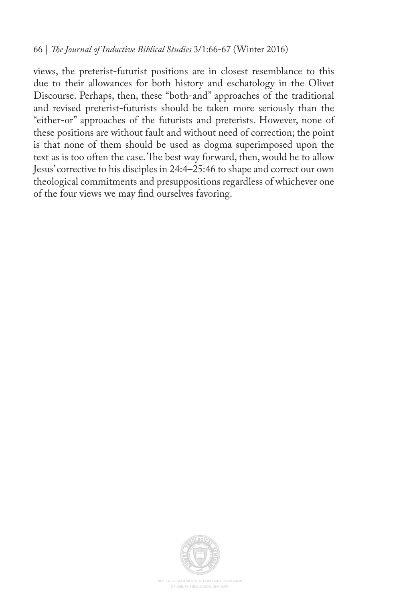views, the preterist-futurist positions are in closest resemblance to this due to their allowances for both history and eschatology in the Olivet Discourse. Perhaps, then, these "both-and" approaches of the traditional and revised preterist-futurists should be taken more seriously than the "either-or" approaches of the futurists and preterists. However, none of these positions are without fault and without need of correction; the point is that none of them should be used as dogma superimposed upon the text as is too often the case. The best way forward, then, would be to allow Jesus' corrective to his disciples in 24:4–25:46 to shape and correct our own theological commitments and presuppositions regardless of whichever one of the four views we may fnd ourselves favoring.